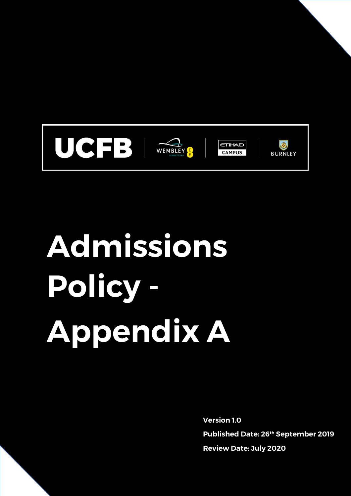

# **Admissions Policy - Appendix A**

**Version 1.0 Published Date: 26th September 2019 Review Date: July 2020**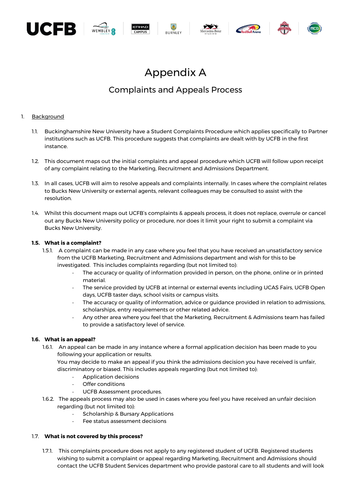

## Appendix A

### Complaints and Appeals Process

#### 1. Background

- 1.1. Buckinghamshire New University have a Student Complaints Procedure which applies specifically to Partner institutions such as UCFB. This procedure suggests that complaints are dealt with by UCFB in the first instance.
- 1.2. This document maps out the initial complaints and appeal procedure which UCFB will follow upon receipt of any complaint relating to the Marketing, Recruitment and Admissions Department.
- 1.3. In all cases, UCFB will aim to resolve appeals and complaints internally. In cases where the complaint relates to Bucks New University or external agents, relevant colleagues may be consulted to assist with the resolution.
- 1.4. Whilst this document maps out UCFB's complaints & appeals process, it does not replace, overrule or cancel out any Bucks New University policy or procedure, nor does it limit your right to submit a complaint via Bucks New University.

#### **1.5. What is a complaint?**

- 1.5.1. A complaint can be made in any case where you feel that you have received an unsatisfactory service from the UCFB Marketing, Recruitment and Admissions department and wish for this to be investigated. This includes complaints regarding (but not limited to):
	- The accuracy or quality of information provided in person, on the phone, online or in printed material.
	- The service provided by UCFB at internal or external events including UCAS Fairs, UCFB Open days, UCFB taster days, school visits or campus visits.
	- The accuracy or quality of information, advice or guidance provided in relation to admissions, scholarships, entry requirements or other related advice.
	- Any other area where you feel that the Marketing, Recruitment & Admissions team has failed to provide a satisfactory level of service.

#### **1.6. What is an appeal?**

1.6.1. An appeal can be made in any instance where a formal application decision has been made to you following your application or results.

You may decide to make an appeal if you think the admissions decision you have received is unfair, discriminatory or biased. This includes appeals regarding (but not limited to):

- Application decisions
- Offer conditions
- UCFB Assessment procedures.
- 1.6.2. The appeals process may also be used in cases where you feel you have received an unfair decision regarding (but not limited to):
	- Scholarship & Bursary Applications
	- Fee status assessment decisions

#### 1.7. **What is not covered by this process?**

1.7.1. This complaints procedure does not apply to any registered student of UCFB. Registered students wishing to submit a complaint or appeal regarding Marketing, Recruitment and Admissions should contact the UCFB Student Services department who provide pastoral care to all students and will look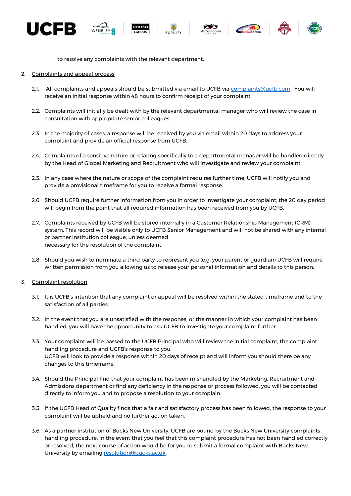













to resolve any complaints with the relevant department.

- 2. Complaints and appeal process
	- 2.1. All complaints and appeals should be submitted via email to UCFB via [complaints@ucfb.com.](mailto:complaints@ucfb.com) You will receive an initial response within 48 hours to confirm receipt of your complaint.
	- 2.2. Complaints will initially be dealt with by the relevant departmental manager who will review the case in consultation with appropriate senior colleagues.
	- 2.3. In the majority of cases, a response will be received by you via email within 20 days to address your complaint and provide an official response from UCFB.
	- 2.4. Complaints of a sensitive nature or relating specifically to a departmental manager will be handled directly by the Head of Global Marketing and Recruitment who will investigate and review your complaint.
	- 2.5. In any case where the nature or scope of the complaint requires further time, UCFB will notify you and provide a provisional timeframe for you to receive a formal response.
	- 2.6. Should UCFB require further information from you in order to investigate your complaint, the 20 day period will begin from the point that all required information has been received from you by UCFB.
	- 2.7. Complaints received by UCFB will be stored internally in a Customer Relationship Management (CRM) system. This record will be visible only to UCFB Senior Management and will not be shared with any internal or partner institution colleague, unless deemed necessary for the resolution of the complaint.
	- 2.8. Should you wish to nominate a third party to represent you (e.g. your parent or guardian) UCFB will require written permission from you allowing us to release your personal information and details to this person.
- 3. Complaint resolution
	- 3.1. It is UCFB's intention that any complaint or appeal will be resolved within the stated timeframe and to the satisfaction of all parties.
	- 3.2. In the event that you are unsatisfied with the response, or the manner in which your complaint has been handled, you will have the opportunity to ask UCFB to investigate your complaint further.
	- 3.3. Your complaint will be passed to the UCFB Principal who will review the initial complaint, the complaint handling procedure and UCFB's response to you. UCFB will look to provide a response within 20 days of receipt and will inform you should there be any changes to this timeframe.
	- 3.4. Should the Principal find that your complaint has been mishandled by the Marketing, Recruitment and Admissions department or find any deficiency in the response or process followed, you will be contacted directly to inform you and to propose a resolution to your complain.
	- 3.5. If the UCFB Head of Quality finds that a fair and satisfactory process has been followed, the response to your complaint will be upheld and no further action taken.
	- 3.6. As a partner institution of Bucks New University, UCFB are bound by the Bucks New University complaints handling procedure. In the event that you feel that this complaint procedure has not been handled correctly or resolved, the next course of action would be for you to submit a formal complaint with Bucks New University by emailing [resolution@bucks.ac.uk.](mailto:resolution@bucks.ac.uk)